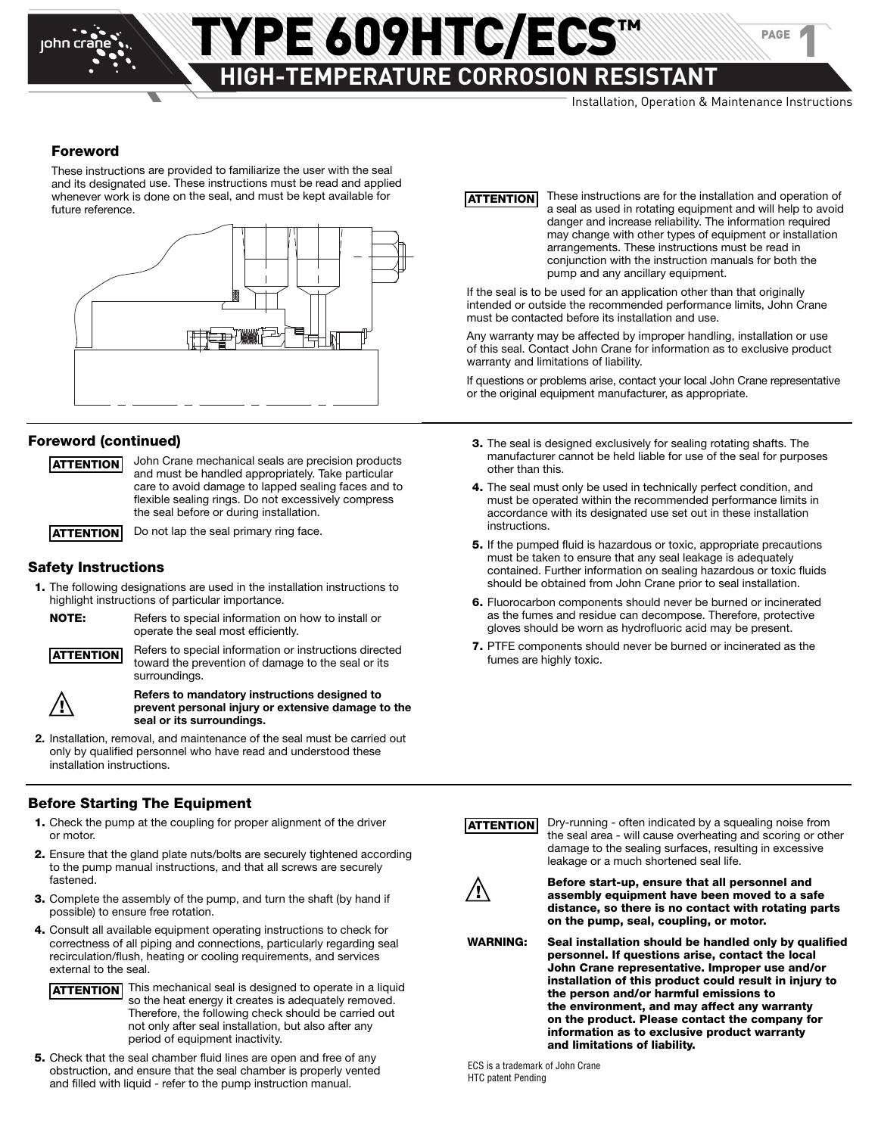# TYPE 609HTC/ECS™ **HIGH-TEMPERATURE CORROSION RESISTANT**

Installation, Operation & Maintenance Instructions

PAGE

1

### **Foreword**

These instructions are provided to familiarize the user with the seal and its designated use. These instructions must be read and applied whenever work is done on the seal, and must be kept available for future reference.



### **Foreword (continued)**



John Crane mechanical seals are precision products and must be handled appropriately. Take particular care to avoid damage to lapped sealing faces and to flexible sealing rings. Do not excessively compress the seal before or during installation.

**ATTENTION**

### **Safety Instructions**

 **1.** The following designations are used in the installation instructions to highlight instructions of particular importance.

Do not lap the seal primary ring face.



**NOTE:** Refers to special information on how to install or operate the seal most efficiently.

 Refers to special information or instructions directed toward the prevention of damage to the seal or its surroundings. **ATTENTION**



 **Refers to mandatory instructions designed to prevent personal injury or extensive damage to the seal or its surroundings.**

 **2.** Installation, removal, and maintenance of the seal must be carried out only by qualified personnel who have read and understood these installation instructions.

### **Before Starting The Equipment**

- **1.** Check the pump at the coupling for proper alignment of the driver or motor.
- **2.** Ensure that the gland plate nuts/bolts are securely tightened according to the pump manual instructions, and that all screws are securely fastened.
- **3.** Complete the assembly of the pump, and turn the shaft (by hand if possible) to ensure free rotation.
- **4.** Consult all available equipment operating instructions to check for correctness of all piping and connections, particularly regarding seal recirculation/flush, heating or cooling requirements, and services external to the seal.
- **ATTENTION** This mechanical seal is designed to operate in a liquid so the heat energy it creates is adequately removed. Therefore, the following check should be carried out not only after seal installation, but also after any period of equipment inactivity.
- **5.** Check that the seal chamber fluid lines are open and free of any obstruction, and ensure that the seal chamber is properly vented and filled with liquid - refer to the pump instruction manual.

**ATTENTION**

These instructions are for the installation and operation of a seal as used in rotating equipment and will help to avoid danger and increase reliability. The information required may change with other types of equipment or installation arrangements. These instructions must be read in conjunction with the instruction manuals for both the pump and any ancillary equipment.

If the seal is to be used for an application other than that originally intended or outside the recommended performance limits, John Crane must be contacted before its installation and use.

Any warranty may be affected by improper handling, installation or use of this seal. Contact John Crane for information as to exclusive product warranty and limitations of liability.

If questions or problems arise, contact your local John Crane representative or the original equipment manufacturer, as appropriate.

- **3.** The seal is designed exclusively for sealing rotating shafts. The manufacturer cannot be held liable for use of the seal for purposes other than this.
- **4.** The seal must only be used in technically perfect condition, and must be operated within the recommended performance limits in accordance with its designated use set out in these installation instructions.
- **5.** If the pumped fluid is hazardous or toxic, appropriate precautions must be taken to ensure that any seal leakage is adequately contained. Further information on sealing hazardous or toxic fluids should be obtained from John Crane prior to seal installation.
- **6.** Fluorocarbon components should never be burned or incinerated as the fumes and residue can decompose. Therefore, protective gloves should be worn as hydrofluoric acid may be present.
- **7.** PTFE components should never be burned or incinerated as the fumes are highly toxic.



Dry-running - often indicated by a squealing noise from the seal area - will cause overheating and scoring or other damage to the sealing surfaces, resulting in excessive leakage or a much shortened seal life.



**Before start-up, ensure that all personnel and assembly equipment have been moved to a safe distance, so there is no contact with rotating parts on the pump, seal, coupling, or motor.**

**WARNING: Seal installation should be handled only by qualified personnel. If questions arise, contact the local John Crane representative. Improper use and/or installation of this product could result in injury to the person and/or harmful emissions to the environment, and may affect any warranty on the product. Please contact the company for information as to exclusive product warranty and limitations of liability.**

ECS is a trademark of John Crane HTC patent Pending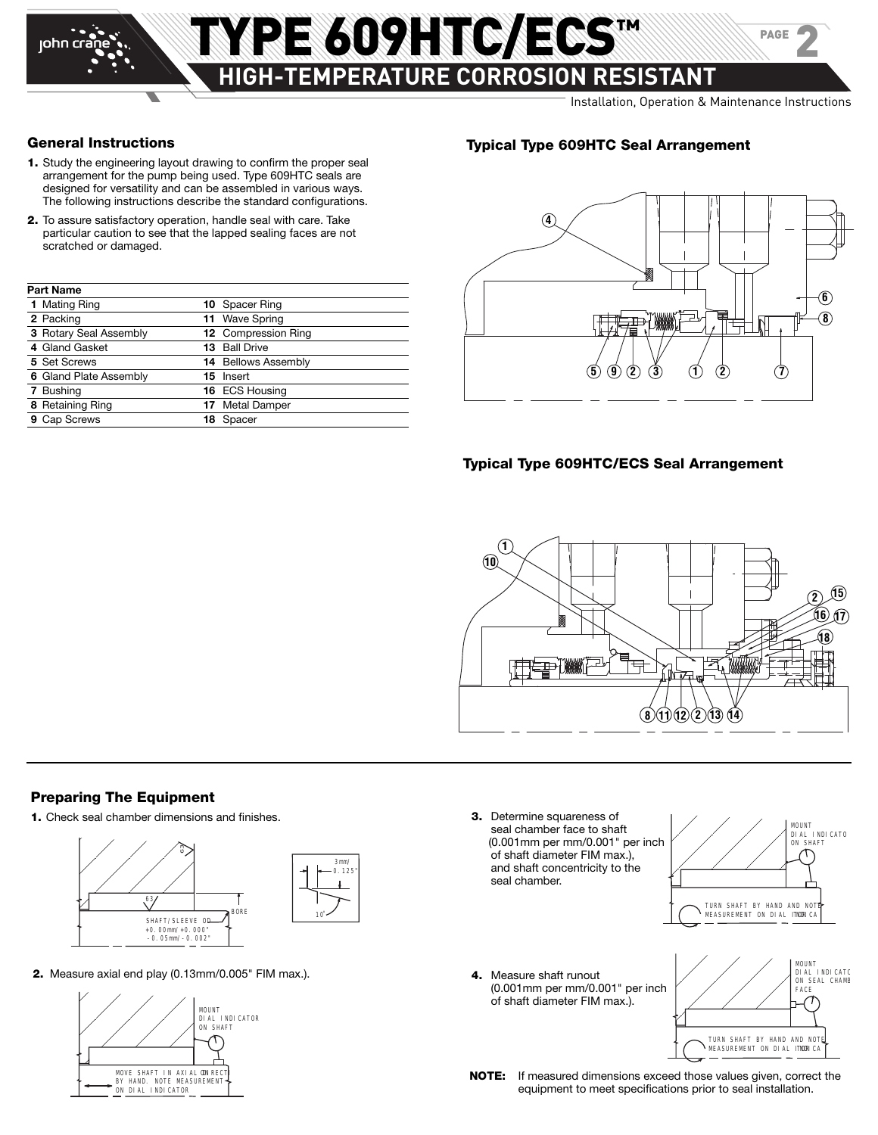

- **1.** Study the engineering layout drawing to confirm the proper seal arrangement for the pump being used. Type 609HTC seals are designed for versatility and can be assembled in various ways. The following instructions describe the standard configurations.
- **2.** To assure satisfactory operation, handle seal with care. Take particular caution to see that the lapped sealing faces are not scratched or damaged.

| <b>Part Name</b>       |                       |
|------------------------|-----------------------|
| 1 Mating Ring          | <b>10</b> Spacer Ring |
| 2 Packing              | 11 Wave Spring        |
| 3 Rotary Seal Assembly | 12 Compression Ring   |
| 4 Gland Gasket         | 13 Ball Drive         |
| 5 Set Screws           | 14 Bellows Assembly   |
| 6 Gland Plate Assembly | 15 Insert             |
| 7 Bushing              | 16 ECS Housing        |
| 8 Retaining Ring       | 17 Metal Damper       |
| 9 Cap Screws           | Spacer                |
|                        | 18                    |

### **General Instructions Typical Type 609HTC Seal Arrangement**



### **Typical Type 609HTC/ECS Seal Arrangement**



### **Preparing The Equipment**

**1.** Check seal chamber dimensions and finishes.



3mm/ 0.125"

**2.** Measure axial end play (0.13mm/0.005" FIM max.).



**3.** Determine squareness of seal chamber face to shaft (0.001mm per mm/0.001" per inch of shaft diameter FIM max.), and shaft concentricity to the seal chamber.



**4.** Measure shaft runout (0.001mm per mm/0.001" per inch of shaft diameter FIM max.).



**NOTE:** If measured dimensions exceed those values given, correct the equipment to meet specifications prior to seal installation.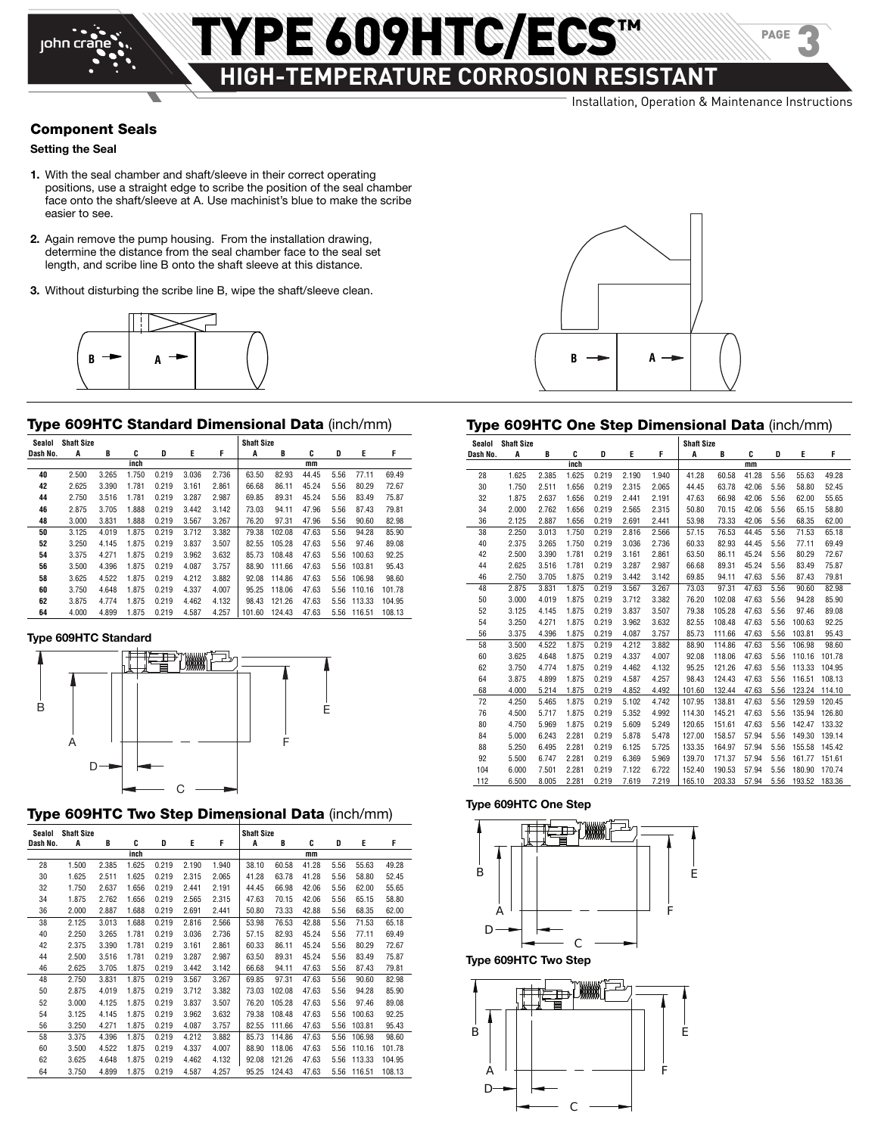# TYPE 609HTC/ECS™ john cr **HIGH-TEMPERATURE CORROSION INESISTANT**<br>Installation, Operation & Maintenance Instructions

PAGE

3

### **Component Seals**

### **Setting the Seal**

- **1.** With the seal chamber and shaft/sleeve in their correct operating positions, use a straight edge to scribe the position of the seal chamber face onto the shaft/sleeve at A. Use machinist's blue to make the scribe easier to see.
- **2.** Again remove the pump housing. From the installation drawing, determine the distance from the seal chamber face to the seal set length, and scribe line B onto the shaft sleeve at this distance.
- **3.** Without disturbing the scribe line B, wipe the shaft/sleeve clean.



### **Type 609HTC Standard Dimensional Data** (inch/mm)

| Sealol   | <b>Shaft Size</b> |       |       |       |       |       | <b>Shaft Size</b> |        |       |      |        |        |
|----------|-------------------|-------|-------|-------|-------|-------|-------------------|--------|-------|------|--------|--------|
| Dash No. | A                 | В     | C     | D     | E     | F     | A                 | В      | C     | D    | Е      | F      |
|          |                   |       | inch  |       |       |       |                   |        | mm    |      |        |        |
| 40       | 2.500             | 3.265 | 1.750 | 0.219 | 3.036 | 2.736 | 63.50             | 82.93  | 44.45 | 5.56 | 77.11  | 69.49  |
| 42       | 2.625             | 3.390 | 1.781 | 0.219 | 3.161 | 2.861 | 66.68             | 86.11  | 45.24 | 5.56 | 80.29  | 72.67  |
| 44       | 2.750             | 3.516 | 1.781 | 0.219 | 3.287 | 2.987 | 69.85             | 89.31  | 45.24 | 5.56 | 83.49  | 75.87  |
| 46       | 2.875             | 3.705 | 1.888 | 0.219 | 3.442 | 3.142 | 73.03             | 94.11  | 47.96 | 5.56 | 87.43  | 79.81  |
| 48       | 3.000             | 3.831 | 1.888 | 0.219 | 3.567 | 3.267 | 76.20             | 97.31  | 47.96 | 5.56 | 90.60  | 82.98  |
| 50       | 3.125             | 4.019 | 1.875 | 0.219 | 3.712 | 3.382 | 79.38             | 102.08 | 47.63 | 5.56 | 94.28  | 85.90  |
| 52       | 3.250             | 4.145 | 1.875 | 0.219 | 3.837 | 3.507 | 82.55             | 105.28 | 47.63 | 5.56 | 97.46  | 89.08  |
| 54       | 3.375             | 4.271 | 1.875 | 0.219 | 3.962 | 3.632 | 85.73             | 108.48 | 47.63 | 5.56 | 100.63 | 92.25  |
| 56       | 3.500             | 4.396 | 1.875 | 0.219 | 4.087 | 3.757 | 88.90             | 111.66 | 47.63 | 5.56 | 103.81 | 95.43  |
| 58       | 3.625             | 4.522 | 1.875 | 0.219 | 4.212 | 3.882 | 92.08             | 114.86 | 47.63 | 5.56 | 106.98 | 98.60  |
| 60       | 3.750             | 4.648 | 1.875 | 0.219 | 4.337 | 4.007 | 95.25             | 118.06 | 47.63 | 5.56 | 110.16 | 101.78 |
| 62       | 3.875             | 4.774 | 1.875 | 0.219 | 4.462 | 4.132 | 98.43             | 121.26 | 47.63 | 5.56 | 113.33 | 104.95 |
| 64       | 4.000             | 4.899 | 1.875 | 0.219 | 4.587 | 4.257 | 101.60            | 124.43 | 47.63 | 5.56 | 116.51 | 108.13 |

#### **Type 609HTC Standard**



### **Type 609HTC Two Step Dimensional Data** (inch/mm)

| Sealol   | <b>Shaft Size</b> |       |       |       |       |       | <b>Shaft Size</b> |        |       |      |        |        |
|----------|-------------------|-------|-------|-------|-------|-------|-------------------|--------|-------|------|--------|--------|
| Dash No. | A                 | B     | C     | D     | E     | F     | A                 | В      | C     | D    | E      | F      |
|          |                   |       | inch  |       |       |       |                   |        | mm    |      |        |        |
| 28       | 1.500             | 2.385 | 1.625 | 0.219 | 2.190 | 1.940 | 38.10             | 60.58  | 41.28 | 5.56 | 55.63  | 49.28  |
| 30       | 1.625             | 2.511 | 1.625 | 0.219 | 2.315 | 2.065 | 41.28             | 63.78  | 41.28 | 5.56 | 58.80  | 52.45  |
| 32       | 1.750             | 2.637 | 1.656 | 0.219 | 2.441 | 2.191 | 44.45             | 66.98  | 42.06 | 5.56 | 62.00  | 55.65  |
| 34       | 1.875             | 2.762 | 1.656 | 0.219 | 2.565 | 2.315 | 47.63             | 70.15  | 42.06 | 5.56 | 65.15  | 58.80  |
| 36       | 2.000             | 2.887 | 1.688 | 0.219 | 2.691 | 2.441 | 50.80             | 73.33  | 42.88 | 5.56 | 68.35  | 62.00  |
| 38       | 2.125             | 3.013 | 1.688 | 0.219 | 2.816 | 2.566 | 53.98             | 76.53  | 42.88 | 5.56 | 71.53  | 65.18  |
| 40       | 2.250             | 3.265 | 1.781 | 0.219 | 3.036 | 2.736 | 57.15             | 82.93  | 45.24 | 5.56 | 77.11  | 69.49  |
| 42       | 2.375             | 3.390 | 1.781 | 0.219 | 3.161 | 2.861 | 60.33             | 86.11  | 45.24 | 5.56 | 80.29  | 72.67  |
| 44       | 2.500             | 3.516 | 1.781 | 0.219 | 3.287 | 2.987 | 63.50             | 89.31  | 45.24 | 5.56 | 83.49  | 75.87  |
| 46       | 2.625             | 3.705 | 1.875 | 0.219 | 3.442 | 3.142 | 66.68             | 94.11  | 47.63 | 5.56 | 87.43  | 79.81  |
| 48       | 2.750             | 3.831 | 1.875 | 0.219 | 3.567 | 3.267 | 69.85             | 97.31  | 47.63 | 5.56 | 90.60  | 82.98  |
| 50       | 2.875             | 4.019 | 1.875 | 0.219 | 3.712 | 3.382 | 73.03             | 102.08 | 47.63 | 5.56 | 94.28  | 85.90  |
| 52       | 3.000             | 4.125 | 1.875 | 0.219 | 3.837 | 3.507 | 76.20             | 105.28 | 47.63 | 5.56 | 97.46  | 89.08  |
| 54       | 3.125             | 4.145 | 1.875 | 0.219 | 3.962 | 3.632 | 79.38             | 108.48 | 47.63 | 5.56 | 100.63 | 92.25  |
| 56       | 3.250             | 4.271 | 1.875 | 0.219 | 4.087 | 3.757 | 82.55             | 111.66 | 47.63 | 5.56 | 103.81 | 95.43  |
| 58       | 3.375             | 4.396 | 1.875 | 0.219 | 4.212 | 3.882 | 85.73             | 114.86 | 47.63 | 5.56 | 106.98 | 98.60  |
| 60       | 3.500             | 4.522 | 1.875 | 0.219 | 4.337 | 4.007 | 88.90             | 118.06 | 47.63 | 5.56 | 110.16 | 101.78 |
| 62       | 3.625             | 4.648 | 1.875 | 0.219 | 4.462 | 4.132 | 92.08             | 121.26 | 47.63 | 5.56 | 113.33 | 104.95 |
| 64       | 3.750             | 4.899 | 1.875 | 0.219 | 4.587 | 4.257 | 95.25             | 124.43 | 47.63 | 5.56 | 116.51 | 108.13 |



### **Type 609HTC One Step Dimensional Data** (inch/mm)

| Sealol   | <b>Shaft Size</b> |       |       |       |       |       | <b>Shaft Size</b> |        |       |      |        |        |
|----------|-------------------|-------|-------|-------|-------|-------|-------------------|--------|-------|------|--------|--------|
| Dash No. | A                 | B     | C     | D     | E     | F     | A                 | B      | C     | D    | E      | F      |
|          |                   |       | inch  |       |       |       |                   |        | mm    |      |        |        |
| 28       | 1.625             | 2.385 | 1.625 | 0.219 | 2.190 | 1.940 | 41.28             | 60.58  | 41.28 | 5.56 | 55.63  | 49.28  |
| 30       | 1.750             | 2.511 | 1.656 | 0.219 | 2.315 | 2.065 | 44.45             | 63.78  | 42.06 | 5.56 | 58.80  | 52.45  |
| 32       | 1.875             | 2.637 | 1.656 | 0.219 | 2.441 | 2.191 | 47.63             | 66.98  | 42.06 | 5.56 | 62.00  | 55.65  |
| 34       | 2.000             | 2.762 | 1.656 | 0.219 | 2.565 | 2.315 | 50.80             | 70.15  | 42.06 | 5.56 | 65.15  | 58.80  |
| 36       | 2.125             | 2.887 | 1.656 | 0.219 | 2.691 | 2.441 | 53.98             | 73.33  | 42.06 | 5.56 | 68.35  | 62.00  |
| 38       | 2.250             | 3.013 | 1.750 | 0.219 | 2.816 | 2.566 | 57.15             | 76.53  | 44.45 | 5.56 | 71.53  | 65.18  |
| 40       | 2.375             | 3.265 | 1.750 | 0.219 | 3.036 | 2.736 | 60.33             | 82.93  | 44.45 | 5.56 | 77.11  | 69.49  |
| 42       | 2.500             | 3.390 | 1.781 | 0.219 | 3.161 | 2.861 | 63.50             | 86.11  | 45.24 | 5.56 | 80.29  | 72.67  |
| 44       | 2.625             | 3.516 | 1.781 | 0.219 | 3.287 | 2.987 | 66.68             | 89.31  | 45.24 | 5.56 | 83.49  | 75.87  |
| 46       | 2.750             | 3.705 | 1.875 | 0.219 | 3.442 | 3.142 | 69.85             | 94.11  | 47.63 | 5.56 | 87.43  | 79.81  |
| 48       | 2.875             | 3.831 | 1.875 | 0.219 | 3.567 | 3.267 | 73.03             | 97.31  | 47.63 | 5.56 | 90.60  | 82.98  |
| 50       | 3.000             | 4.019 | 1.875 | 0.219 | 3.712 | 3.382 | 76.20             | 102.08 | 47.63 | 5.56 | 94.28  | 85.90  |
| 52       | 3.125             | 4.145 | 1.875 | 0.219 | 3.837 | 3.507 | 79.38             | 105.28 | 47.63 | 5.56 | 97.46  | 89.08  |
| 54       | 3.250             | 4.271 | 1.875 | 0.219 | 3.962 | 3.632 | 82.55             | 108.48 | 47.63 | 5.56 | 100.63 | 92.25  |
| 56       | 3.375             | 4.396 | 1.875 | 0.219 | 4.087 | 3.757 | 85.73             | 111.66 | 47.63 | 5.56 | 103.81 | 95.43  |
| 58       | 3.500             | 4.522 | 1.875 | 0.219 | 4.212 | 3.882 | 88.90             | 114.86 | 47.63 | 5.56 | 106.98 | 98.60  |
| 60       | 3.625             | 4.648 | 1.875 | 0.219 | 4.337 | 4.007 | 92.08             | 118.06 | 47.63 | 5.56 | 110.16 | 101.78 |
| 62       | 3.750             | 4.774 | 1.875 | 0.219 | 4.462 | 4.132 | 95.25             | 121.26 | 47.63 | 5.56 | 113.33 | 104.95 |
| 64       | 3.875             | 4.899 | 1.875 | 0.219 | 4.587 | 4.257 | 98.43             | 124.43 | 47.63 | 5.56 | 116.51 | 108.13 |
| 68       | 4.000             | 5.214 | 1.875 | 0.219 | 4.852 | 4.492 | 101.60            | 132.44 | 47.63 | 5.56 | 123.24 | 114.10 |
| 72       | 4.250             | 5.465 | 1.875 | 0.219 | 5.102 | 4.742 | 107.95            | 138.81 | 47.63 | 5.56 | 129.59 | 120.45 |
| 76       | 4.500             | 5.717 | 1.875 | 0.219 | 5.352 | 4.992 | 114.30            | 145.21 | 47.63 | 5.56 | 135.94 | 126.80 |
| 80       | 4.750             | 5.969 | 1.875 | 0.219 | 5.609 | 5.249 | 120.65            | 151.61 | 47.63 | 5.56 | 142.47 | 133.32 |
| 84       | 5.000             | 6.243 | 2.281 | 0.219 | 5.878 | 5.478 | 127.00            | 158.57 | 57.94 | 5.56 | 149.30 | 139.14 |
| 88       | 5.250             | 6.495 | 2.281 | 0.219 | 6.125 | 5.725 | 133.35            | 164.97 | 57.94 | 5.56 | 155.58 | 145.42 |
| 92       | 5.500             | 6.747 | 2.281 | 0.219 | 6.369 | 5.969 | 139.70            | 171.37 | 57.94 | 5.56 | 161.77 | 151.61 |
| 104      | 6.000             | 7.501 | 2.281 | 0.219 | 7.122 | 6.722 | 152.40            | 190.53 | 57.94 | 5.56 | 180.90 | 170.74 |
| 112      | 6.500             | 8.005 | 2.281 | 0.219 | 7.619 | 7.219 | 165.10            | 203.33 | 57.94 | 5.56 | 193.52 | 183.36 |

### **Type 609HTC One Step**



**Type 609HTC Two Step**

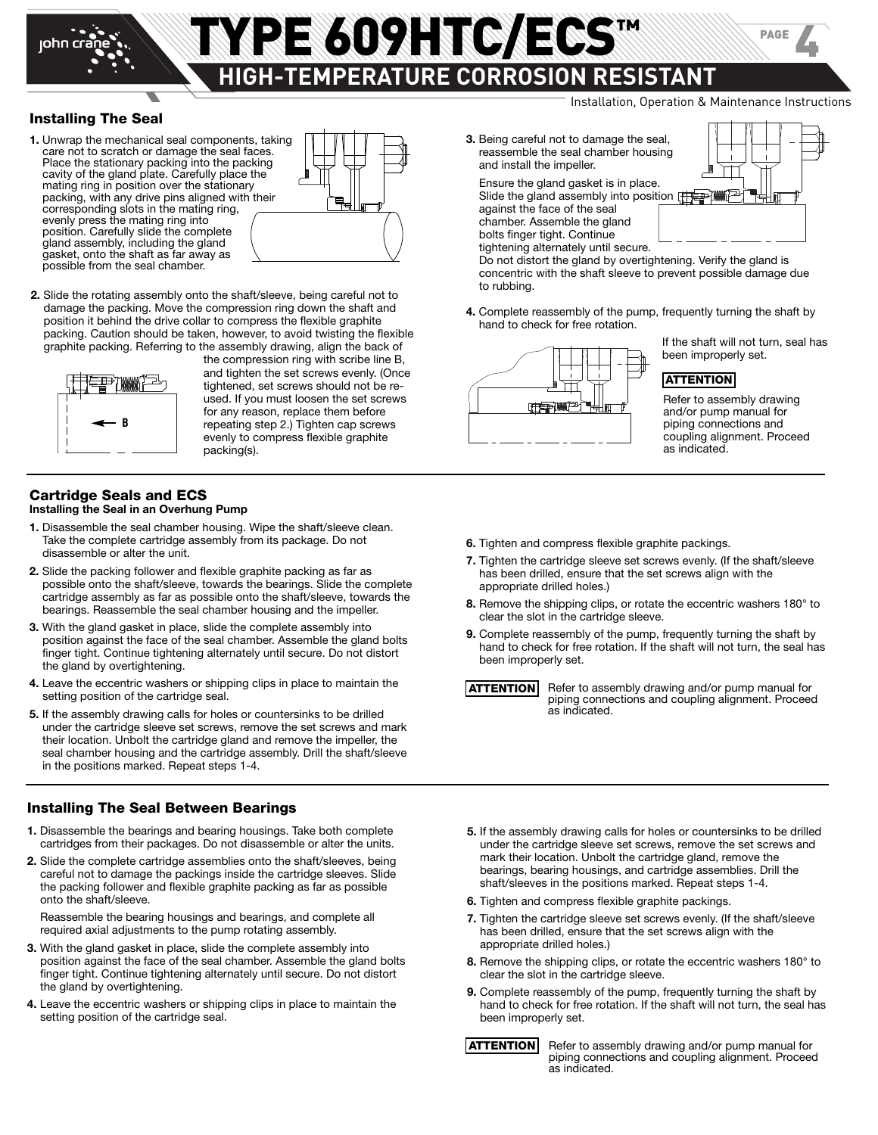# TYPE 609HTC/ECS™ **HIGH-TEMPERATURE CORROSION RESISTANT**

### Installation, Operation & Maintenance Instructions

# **Installing The Seal**

john cra

**1.** Unwrap the mechanical seal components, taking care not to scratch or damage the seal faces. Place the stationary packing into the packing cavity of the gland plate. Carefully place the mating ring in position over the stationary packing, with any drive pins aligned with their corresponding slots in the mating ring, evenly press the mating ring into position. Carefully slide the complete gland assembly, including the gland gasket, onto the shaft as far away as possible from the seal chamber.



**2.** Slide the rotating assembly onto the shaft/sleeve, being careful not to damage the packing. Move the compression ring down the shaft and position it behind the drive collar to compress the flexible graphite packing. Caution should be taken, however, to avoid twisting the flexible graphite packing. Referring to the assembly drawing, align the back of



the compression ring with scribe line B, and tighten the set screws evenly. (Once tightened, set screws should not be reused. If you must loosen the set screws for any reason, replace them before repeating step 2.) Tighten cap screws evenly to compress flexible graphite packing(s).

# **Cartridge Seals and ECS**

### **Installing the Seal in an Overhung Pump**

- **1.** Disassemble the seal chamber housing. Wipe the shaft/sleeve clean. Take the complete cartridge assembly from its package. Do not disassemble or alter the unit.
- **2.** Slide the packing follower and flexible graphite packing as far as possible onto the shaft/sleeve, towards the bearings. Slide the complete cartridge assembly as far as possible onto the shaft/sleeve, towards the bearings. Reassemble the seal chamber housing and the impeller.
- **3.** With the gland gasket in place, slide the complete assembly into position against the face of the seal chamber. Assemble the gland bolts finger tight. Continue tightening alternately until secure. Do not distort the gland by overtightening.
- **4.** Leave the eccentric washers or shipping clips in place to maintain the setting position of the cartridge seal.
- **5.** If the assembly drawing calls for holes or countersinks to be drilled under the cartridge sleeve set screws, remove the set screws and mark their location. Unbolt the cartridge gland and remove the impeller, the seal chamber housing and the cartridge assembly. Drill the shaft/sleeve in the positions marked. Repeat steps 1-4.

# **Installing The Seal Between Bearings**

- **1.** Disassemble the bearings and bearing housings. Take both complete cartridges from their packages. Do not disassemble or alter the units.
- **2.** Slide the complete cartridge assemblies onto the shaft/sleeves, being careful not to damage the packings inside the cartridge sleeves. Slide the packing follower and flexible graphite packing as far as possible onto the shaft/sleeve.

 Reassemble the bearing housings and bearings, and complete all required axial adjustments to the pump rotating assembly.

- **3.** With the gland gasket in place, slide the complete assembly into position against the face of the seal chamber. Assemble the gland bolts finger tight. Continue tightening alternately until secure. Do not distort the gland by overtightening.
- **4.** Leave the eccentric washers or shipping clips in place to maintain the setting position of the cartridge seal.

**3.** Being careful not to damage the seal, reassemble the seal chamber housing and install the impeller.

 Ensure the gland gasket is in place. Slide the gland assembly into position [Fe against the face of the seal





PAGE

4

tightening alternately until secure. Do not distort the gland by overtightening. Verify the gland is concentric with the shaft sleeve to prevent possible damage due to rubbing.

**4.** Complete reassembly of the pump, frequently turning the shaft by hand to check for free rotation.



If the shaft will not turn, seal has been improperly set.

# **ATTENTION**

Refer to assembly drawing and/or pump manual for piping connections and coupling alignment. Proceed as indicated.

- **6.** Tighten and compress flexible graphite packings.
- **7.** Tighten the cartridge sleeve set screws evenly. (If the shaft/sleeve has been drilled, ensure that the set screws align with the appropriate drilled holes.)
- **8.** Remove the shipping clips, or rotate the eccentric washers 180° to clear the slot in the cartridge sleeve.
- **9.** Complete reassembly of the pump, frequently turning the shaft by hand to check for free rotation. If the shaft will not turn, the seal has been improperly set.



 Refer to assembly drawing and/or pump manual for piping connections and coupling alignment. Proceed as indicated.

- **5.** If the assembly drawing calls for holes or countersinks to be drilled under the cartridge sleeve set screws, remove the set screws and mark their location. Unbolt the cartridge gland, remove the bearings, bearing housings, and cartridge assemblies. Drill the shaft/sleeves in the positions marked. Repeat steps 1-4.
- **6.** Tighten and compress flexible graphite packings.
- **7.** Tighten the cartridge sleeve set screws evenly. (If the shaft/sleeve has been drilled, ensure that the set screws align with the appropriate drilled holes.)
- **8.** Remove the shipping clips, or rotate the eccentric washers 180° to clear the slot in the cartridge sleeve.
- **9.** Complete reassembly of the pump, frequently turning the shaft by hand to check for free rotation. If the shaft will not turn, the seal has been improperly set.



 Refer to assembly drawing and/or pump manual for piping connections and coupling alignment. Proceed as indicated.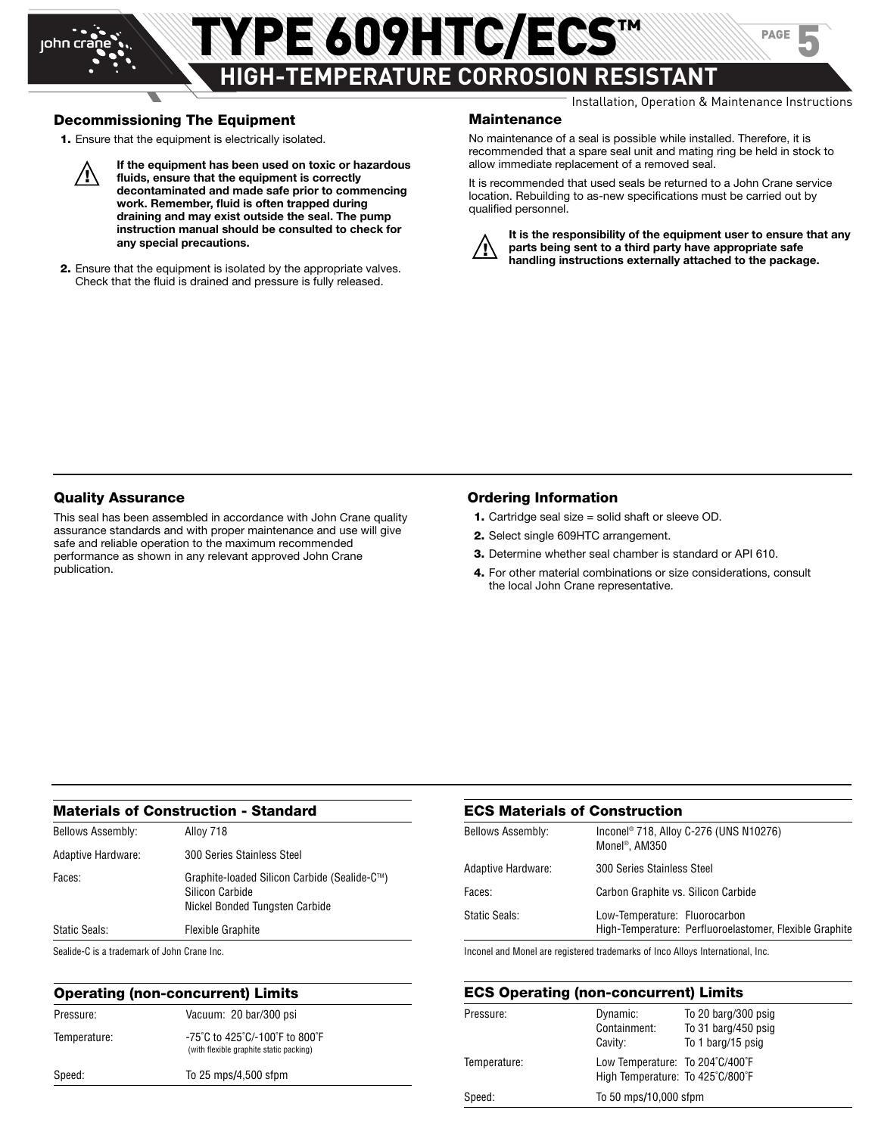

**!**



**HIGH-TEMPERATURE CORROSION INESISTANT**<br>Installation, Operation & Maintenance Instructions

PAGE

5

# **Decommissioning The Equipment**

**1.** Ensure that the equipment is electrically isolated.

 **If the equipment has been used on toxic or hazardous fluids, ensure that the equipment is correctly decontaminated and made safe prior to commencing work. Remember, fluid is often trapped during draining and may exist outside the seal. The pump instruction manual should be consulted to check for any special precautions.**

**2.** Ensure that the equipment is isolated by the appropriate valves. Check that the fluid is drained and pressure is fully released.

#### **Maintenance**

No maintenance of a seal is possible while installed. Therefore, it is recommended that a spare seal unit and mating ring be held in stock to allow immediate replacement of a removed seal.

It is recommended that used seals be returned to a John Crane service location. Rebuilding to as-new specifications must be carried out by qualified personnel.



**It is the responsibility of the equipment user to ensure that any parts being sent to a third party have appropriate safe handling instructions externally attached to the package. !**

### **Quality Assurance**

This seal has been assembled in accordance with John Crane quality assurance standards and with proper maintenance and use will give safe and reliable operation to the maximum recommended performance as shown in any relevant approved John Crane publication.

### **Ordering Information**

- **1.** Cartridge seal size = solid shaft or sleeve OD.
- **2.** Select single 609HTC arrangement.
- **3.** Determine whether seal chamber is standard or API 610.
- **4.** For other material combinations or size considerations, consult the local John Crane representative.

| <b>Materials of Construction - Standard</b> |                                                                                                   |  |  |  |  |
|---------------------------------------------|---------------------------------------------------------------------------------------------------|--|--|--|--|
| <b>Bellows Assembly:</b>                    | Alloy 718                                                                                         |  |  |  |  |
| Adaptive Hardware:                          | 300 Series Stainless Steel                                                                        |  |  |  |  |
| Faces:                                      | Graphite-loaded Silicon Carbide (Sealide-C™)<br>Silicon Carbide<br>Nickel Bonded Tungsten Carbide |  |  |  |  |
| <b>Static Seals:</b>                        | <b>Flexible Graphite</b>                                                                          |  |  |  |  |
|                                             |                                                                                                   |  |  |  |  |

Sealide-C is a trademark of John Crane Inc.

# **Operating (non-concurrent) Limits**

| Pressure:    | Vacuum: 20 bar/300 psi                                                    |
|--------------|---------------------------------------------------------------------------|
| Temperature: | -75°C to 425°C/-100°F to 800°F<br>(with flexible graphite static packing) |
| Speed:       | To 25 mps/4,500 sfpm                                                      |

### **ECS Materials of Construction**

| <b>Bellows Assembly:</b> | Inconel <sup>®</sup> 718, Alloy C-276 (UNS N10276)<br>Monel <sup>®</sup> , AM350         |
|--------------------------|------------------------------------------------------------------------------------------|
| Adaptive Hardware:       | 300 Series Stainless Steel                                                               |
| Faces:                   | Carbon Graphite vs. Silicon Carbide                                                      |
| <b>Static Seals:</b>     | Low-Temperature: Fluorocarbon<br>High-Temperature: Perfluoroelastomer, Flexible Graphite |

Inconel and Monel are registered trademarks of Inco Alloys International, Inc.

### **ECS Operating (non-concurrent) Limits**

| Pressure:    | Dynamic:<br>Containment:<br>Cavity: | To 20 barg/300 psig<br>To 31 barg/450 psig<br>To 1 barg/15 psig     |  |
|--------------|-------------------------------------|---------------------------------------------------------------------|--|
| Temperature: |                                     | Low Temperature: To 204°C/400°F<br>High Temperature: To 425°C/800°F |  |
| Speed:       | To 50 mps/10,000 sfpm               |                                                                     |  |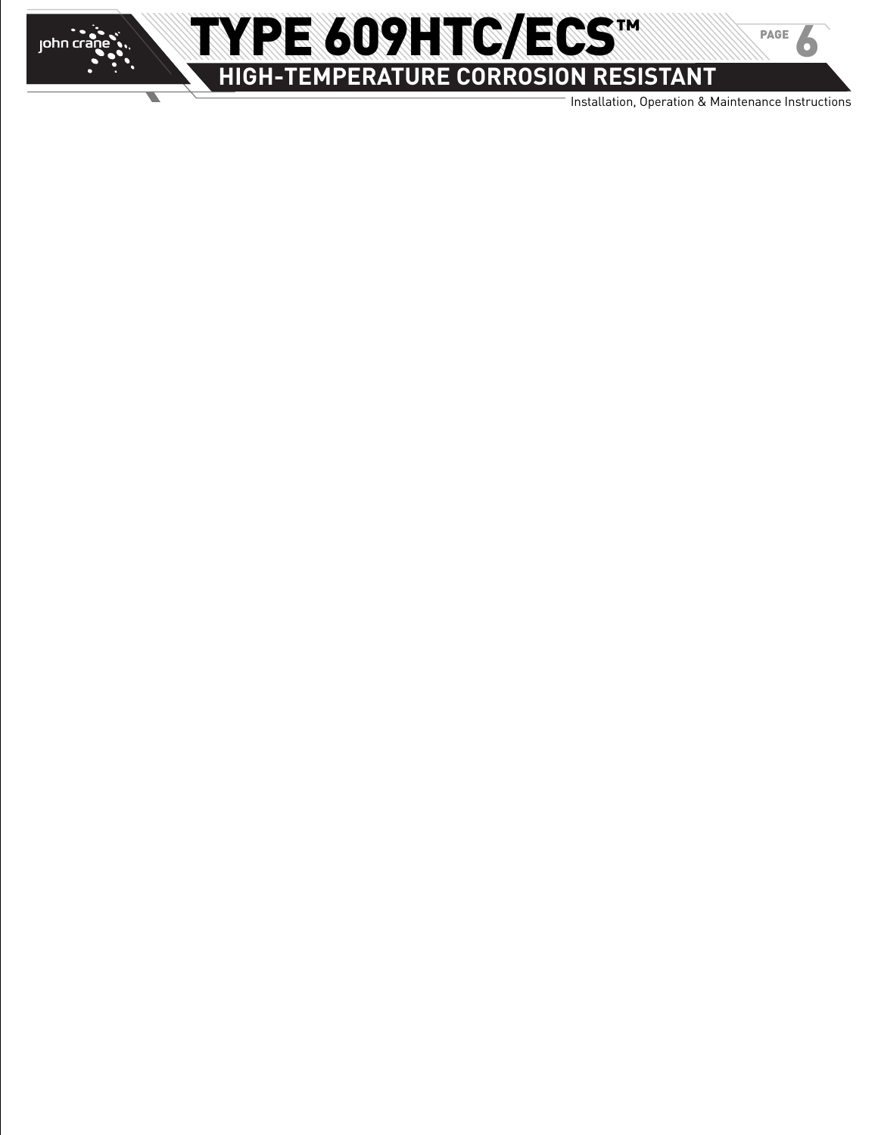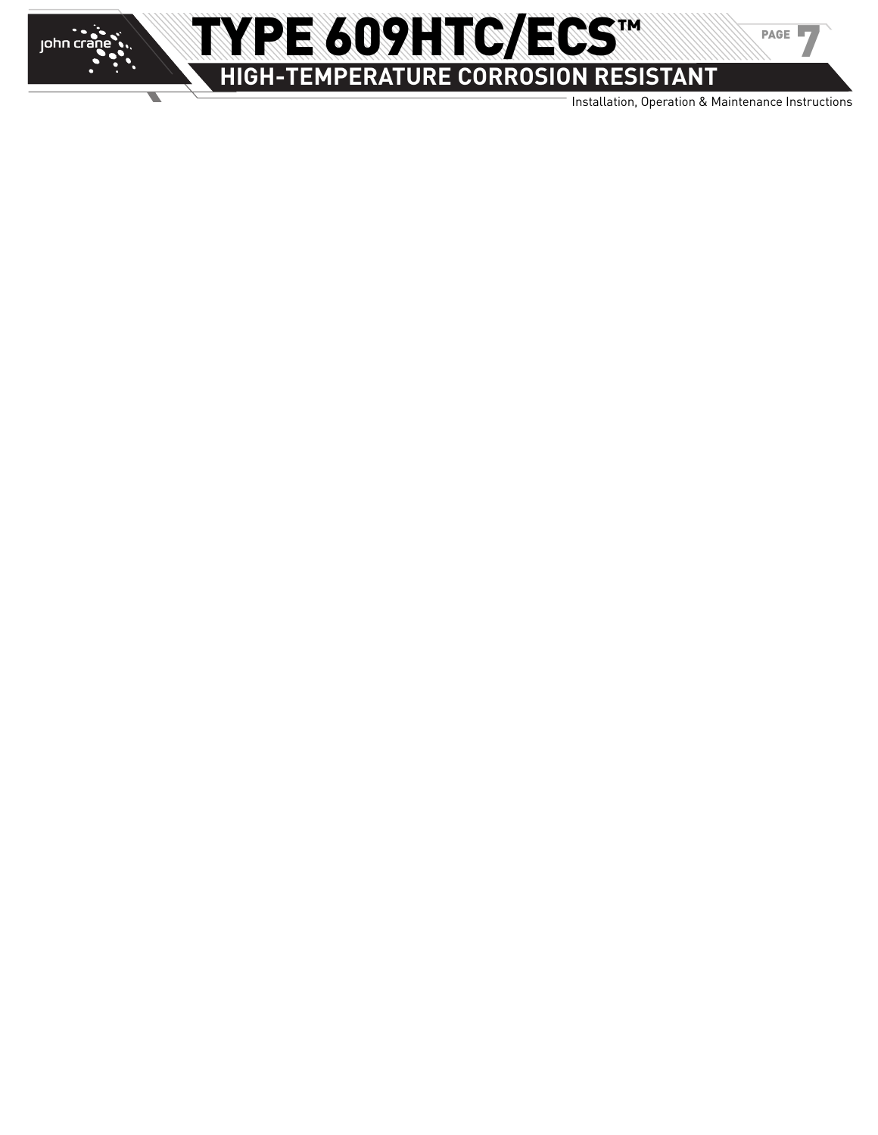



PAGE

7